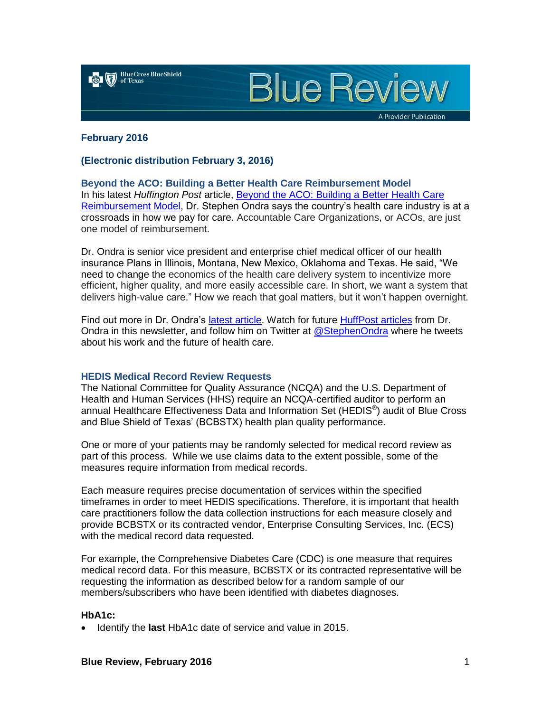

**Blue Review** 

A Provider Publication

#### **February 2016**

## **(Electronic distribution February 3, 2016)**

**Beyond the ACO: Building a Better Health Care Reimbursement Model** In his latest *Huffington Post* article, [Beyond the ACO: Building a Better Health Care](http://www.huffingtonpost.com/dr-stephen-ondra/beyond-the-aco-building-a_b_8958966.html)  [Reimbursement Model,](http://www.huffingtonpost.com/dr-stephen-ondra/beyond-the-aco-building-a_b_8958966.html) Dr. Stephen Ondra says the country's health care industry is at a crossroads in how we pay for care. Accountable Care Organizations, or ACOs, are just one model of reimbursement.

Dr. Ondra is senior vice president and enterprise chief medical officer of our health insurance Plans in Illinois, Montana, New Mexico, Oklahoma and Texas. He said, "We need to change the economics of the health care delivery system to incentivize more efficient, higher quality, and more easily accessible care. In short, we want a system that delivers high-value care." How we reach that goal matters, but it won't happen overnight.

Find out more in Dr. Ondra's [latest article.](http://www.huffingtonpost.com/dr-stephen-ondra/beyond-the-aco-building-a_b_8958966.html) Watch for future [HuffPost articles](http://www.huffingtonpost.com/dr-stephen-ondra/) from Dr. Ondra in this newsletter, and follow him on Twitter at [@StephenOndra](https://twitter.com/StephenOndra) where he tweets about his work and the future of health care.

### **HEDIS Medical Record Review Requests**

The National Committee for Quality Assurance (NCQA) and the U.S. Department of Health and Human Services (HHS) require an NCQA-certified auditor to perform an annual Healthcare Effectiveness Data and Information Set (HEDIS<sup>®</sup>) audit of Blue Cross and Blue Shield of Texas' (BCBSTX) health plan quality performance.

One or more of your patients may be randomly selected for medical record review as part of this process. While we use claims data to the extent possible, some of the measures require information from medical records.

Each measure requires precise documentation of services within the specified timeframes in order to meet HEDIS specifications. Therefore, it is important that health care practitioners follow the data collection instructions for each measure closely and provide BCBSTX or its contracted vendor, Enterprise Consulting Services, Inc. (ECS) with the medical record data requested.

For example, the Comprehensive Diabetes Care (CDC) is one measure that requires medical record data. For this measure, BCBSTX or its contracted representative will be requesting the information as described below for a random sample of our members/subscribers who have been identified with diabetes diagnoses.

## **HbA1c:**

Identify the **last** HbA1c date of service and value in 2015.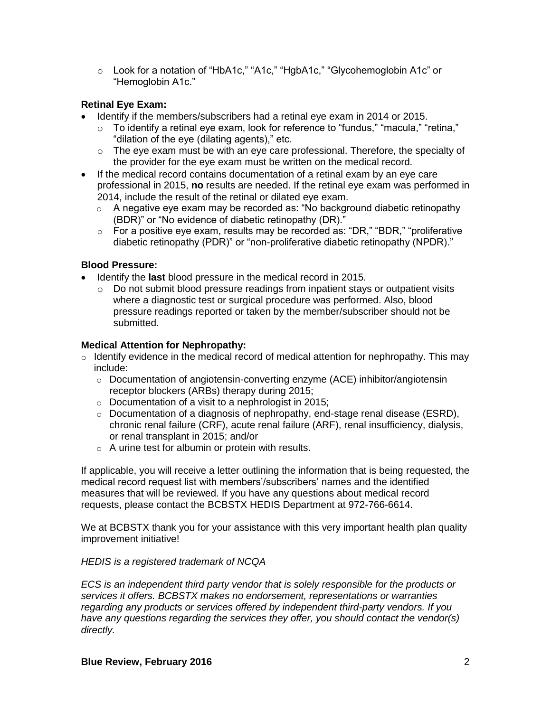o Look for a notation of "HbA1c," "A1c," "HgbA1c," "Glycohemoglobin A1c" or "Hemoglobin A1c."

# **Retinal Eye Exam:**

- Identify if the members/subscribers had a retinal eye exam in 2014 or 2015.
	- $\circ$  To identify a retinal eye exam, look for reference to "fundus," "macula," "retina," "dilation of the eye (dilating agents)," etc.
	- $\circ$  The eye exam must be with an eye care professional. Therefore, the specialty of the provider for the eye exam must be written on the medical record.
- If the medical record contains documentation of a retinal exam by an eye care professional in 2015, **no** results are needed. If the retinal eye exam was performed in 2014, include the result of the retinal or dilated eye exam.
	- $\circ$  A negative eye exam may be recorded as: "No background diabetic retinopathy (BDR)" or "No evidence of diabetic retinopathy (DR)."
	- $\circ$  For a positive eye exam, results may be recorded as: "DR," "BDR," "proliferative diabetic retinopathy (PDR)" or "non-proliferative diabetic retinopathy (NPDR)."

# **Blood Pressure:**

- Identify the **last** blood pressure in the medical record in 2015.
	- $\circ$  Do not submit blood pressure readings from inpatient stays or outpatient visits where a diagnostic test or surgical procedure was performed. Also, blood pressure readings reported or taken by the member/subscriber should not be submitted.

# **Medical Attention for Nephropathy:**

- $\circ$  Identify evidence in the medical record of medical attention for nephropathy. This may include:
	- o Documentation of angiotensin-converting enzyme (ACE) inhibitor/angiotensin receptor blockers (ARBs) therapy during 2015;
	- $\circ$  Documentation of a visit to a nephrologist in 2015;
	- $\circ$  Documentation of a diagnosis of nephropathy, end-stage renal disease (ESRD), chronic renal failure (CRF), acute renal failure (ARF), renal insufficiency, dialysis, or renal transplant in 2015; and/or
	- o A urine test for albumin or protein with results.

If applicable, you will receive a letter outlining the information that is being requested, the medical record request list with members'/subscribers' names and the identified measures that will be reviewed. If you have any questions about medical record requests, please contact the BCBSTX HEDIS Department at 972-766-6614.

We at BCBSTX thank you for your assistance with this very important health plan quality improvement initiative!

# *HEDIS is a registered trademark of NCQA*

*ECS is an independent third party vendor that is solely responsible for the products or services it offers. BCBSTX makes no endorsement, representations or warranties regarding any products or services offered by independent third-party vendors. If you have any questions regarding the services they offer, you should contact the vendor(s) directly.*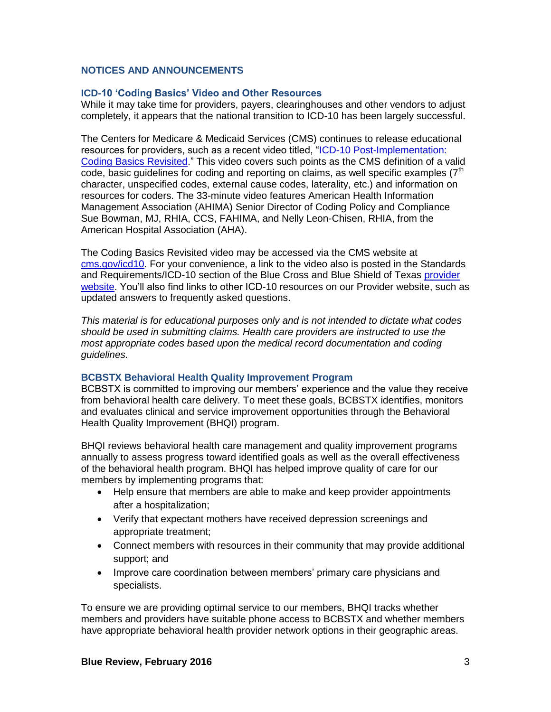## **NOTICES AND ANNOUNCEMENTS**

### **ICD-10 'Coding Basics' Video and Other Resources**

While it may take time for providers, payers, clearinghouses and other vendors to adjust completely, it appears that the national transition to ICD-10 has been largely successful.

The Centers for Medicare & Medicaid Services (CMS) continues to release educational resources for providers, such as a recent video titled, ["ICD-10 Post-Implementation:](https://www.youtube.com/watch?v=Mv2BiBccEcU&feature=youtu.be)  [Coding Basics Revisited.](https://www.youtube.com/watch?v=Mv2BiBccEcU&feature=youtu.be)" This video covers such points as the CMS definition of a valid code, basic quidelines for coding and reporting on claims, as well specific examples  $(7<sup>th</sup>)$ character, unspecified codes, external cause codes, laterality, etc.) and information on resources for coders. The 33-minute video features American Health Information Management Association (AHIMA) Senior Director of Coding Policy and Compliance Sue Bowman, MJ, RHIA, CCS, FAHIMA, and Nelly Leon-Chisen, RHIA, from the American Hospital Association (AHA).

The Coding Basics Revisited video may be accessed via the CMS website at [cms.gov/icd10.](http://www.cms.gov/icd10) For your convenience, a link to the video also is posted in the Standards and Requirements/ICD-10 section of the Blue Cross and Blue Shield of Texas [provider](http://www.bcbstx.com/provider)  [website.](http://www.bcbstx.com/provider) You'll also find links to other ICD-10 resources on our Provider website, such as updated answers to frequently asked questions.

*This material is for educational purposes only and is not intended to dictate what codes should be used in submitting claims. Health care providers are instructed to use the most appropriate codes based upon the medical record documentation and coding guidelines.*

### **BCBSTX Behavioral Health Quality Improvement Program**

BCBSTX is committed to improving our members' experience and the value they receive from behavioral health care delivery. To meet these goals, BCBSTX identifies, monitors and evaluates clinical and service improvement opportunities through the Behavioral Health Quality Improvement (BHQI) program.

BHQI reviews behavioral health care management and quality improvement programs annually to assess progress toward identified goals as well as the overall effectiveness of the behavioral health program. BHQI has helped improve quality of care for our members by implementing programs that:

- Help ensure that members are able to make and keep provider appointments after a hospitalization;
- Verify that expectant mothers have received depression screenings and appropriate treatment;
- Connect members with resources in their community that may provide additional support; and
- Improve care coordination between members' primary care physicians and specialists.

To ensure we are providing optimal service to our members, BHQI tracks whether members and providers have suitable phone access to BCBSTX and whether members have appropriate behavioral health provider network options in their geographic areas.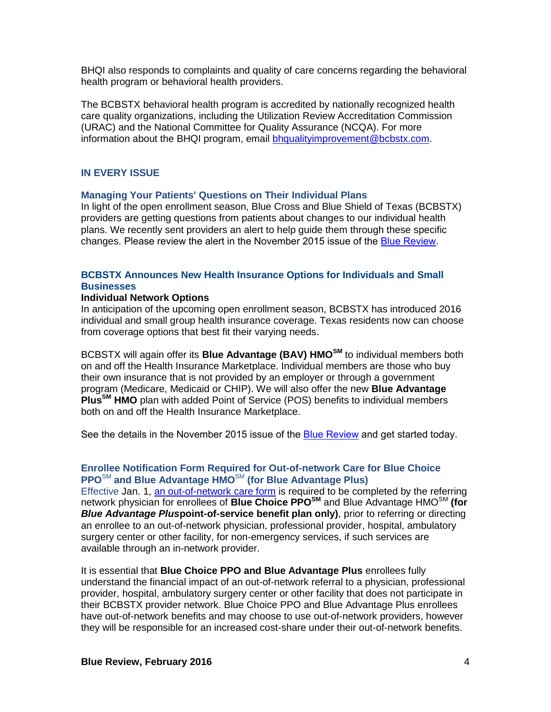BHQI also responds to complaints and quality of care concerns regarding the behavioral health program or behavioral health providers.

The BCBSTX behavioral health program is accredited by nationally recognized health care quality organizations, including the Utilization Review Accreditation Commission (URAC) and the National Committee for Quality Assurance (NCQA). For more information about the BHQI program, email [bhqualityimprovement@bcbstx.com.](mailto:bhqualityimprovement@bcbstx.com)

### **IN EVERY ISSUE**

#### **Managing Your Patients' Questions on Their Individual Plans**

In light of the open enrollment season, Blue Cross and Blue Shield of Texas (BCBSTX) providers are getting questions from patients about changes to our individual health plans. We recently sent providers an alert to help guide them through these specific changes. Please review the alert in the November 2015 issue of the [Blue Review.](https://www.bcbstx.com/provider/news/bluereview.html)

# **BCBSTX Announces New Health Insurance Options for Individuals and Small Businesses**

#### **Individual Network Options**

In anticipation of the upcoming open enrollment season, BCBSTX has introduced 2016 individual and small group health insurance coverage. Texas residents now can choose from coverage options that best fit their varying needs.

BCBSTX will again offer its **Blue Advantage (BAV) HMOSM** to individual members both on and off the Health Insurance Marketplace. Individual members are those who buy their own insurance that is not provided by an employer or through a government program (Medicare, Medicaid or CHIP). We will also offer the new **Blue Advantage PlusSM HMO** plan with added Point of Service (POS) benefits to individual members both on and off the Health Insurance Marketplace.

See the details in the November 2015 issue of the [Blue Review](https://www.bcbstx.com/provider/news/bluereview.html) and get started today.

## **Enrollee Notification Form Required for Out-of-network Care for Blue Choice PPO**SM **and Blue Advantage HMO**SM **(for Blue Advantage Plus)**

Effective Jan. 1, [an out-of-network care form](http://contentz.mkt2527.com/lp/11207/234016/out-of-network-care-enrollee-notification-form.pdf) is required to be completed by the referring network physician for enrollees of **Blue Choice PPOSM** and Blue Advantage HMOSM **(for**  *Blue Advantage Plus***point-of-service benefit plan only)**, prior to referring or directing an enrollee to an out-of-network physician, professional provider, hospital, ambulatory surgery center or other facility, for non-emergency services, if such services are available through an in-network provider.

It is essential that **Blue Choice PPO and Blue Advantage Plus** enrollees fully understand the financial impact of an out-of-network referral to a physician, professional provider, hospital, ambulatory surgery center or other facility that does not participate in their BCBSTX provider network. Blue Choice PPO and Blue Advantage Plus enrollees have out-of-network benefits and may choose to use out-of-network providers, however they will be responsible for an increased cost-share under their out-of-network benefits.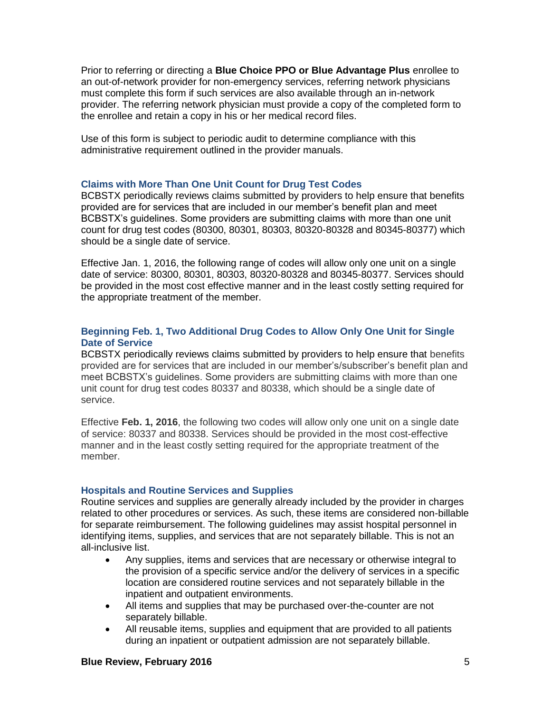Prior to referring or directing a **Blue Choice PPO or Blue Advantage Plus** enrollee to an out-of-network provider for non-emergency services, referring network physicians must complete this form if such services are also available through an in-network provider. The referring network physician must provide a copy of the completed form to the enrollee and retain a copy in his or her medical record files.

Use of this form is subject to periodic audit to determine compliance with this administrative requirement outlined in the provider manuals.

## **Claims with More Than One Unit Count for Drug Test Codes**

BCBSTX periodically reviews claims submitted by providers to help ensure that benefits provided are for services that are included in our member's benefit plan and meet BCBSTX's guidelines. Some providers are submitting claims with more than one unit count for drug test codes (80300, 80301, 80303, 80320-80328 and 80345-80377) which should be a single date of service.

Effective Jan. 1, 2016, the following range of codes will allow only one unit on a single date of service: 80300, 80301, 80303, 80320-80328 and 80345-80377. Services should be provided in the most cost effective manner and in the least costly setting required for the appropriate treatment of the member.

## **Beginning Feb. 1, Two Additional Drug Codes to Allow Only One Unit for Single Date of Service**

BCBSTX periodically reviews claims submitted by providers to help ensure that benefits provided are for services that are included in our member's/subscriber's benefit plan and meet BCBSTX's guidelines. Some providers are submitting claims with more than one unit count for drug test codes 80337 and 80338, which should be a single date of service.

Effective **Feb. 1, 2016**, the following two codes will allow only one unit on a single date of service: 80337 and 80338. Services should be provided in the most cost-effective manner and in the least costly setting required for the appropriate treatment of the member.

### **Hospitals and Routine Services and Supplies**

Routine services and supplies are generally already included by the provider in charges related to other procedures or services. As such, these items are considered non-billable for separate reimbursement. The following guidelines may assist hospital personnel in identifying items, supplies, and services that are not separately billable. This is not an all-inclusive list.

- Any supplies, items and services that are necessary or otherwise integral to the provision of a specific service and/or the delivery of services in a specific location are considered routine services and not separately billable in the inpatient and outpatient environments.
- All items and supplies that may be purchased over-the-counter are not separately billable.
- All reusable items, supplies and equipment that are provided to all patients during an inpatient or outpatient admission are not separately billable.

### **Blue Review, February 2016** 5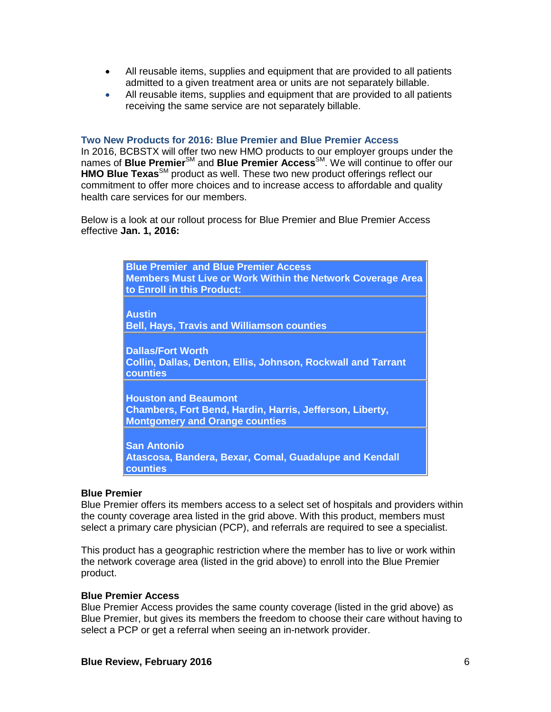- All reusable items, supplies and equipment that are provided to all patients admitted to a given treatment area or units are not separately billable.
- All reusable items, supplies and equipment that are provided to all patients receiving the same service are not separately billable.

#### **Two New Products for 2016: Blue Premier and Blue Premier Access**

In 2016, BCBSTX will offer two new HMO products to our employer groups under the names of **Blue Premier**<sup>SM</sup> and **Blue Premier Access**<sup>SM</sup>. We will continue to offer our **HMO Blue Texas**<sup>SM</sup> product as well. These two new product offerings reflect our commitment to offer more choices and to increase access to affordable and quality health care services for our members.

Below is a look at our rollout process for Blue Premier and Blue Premier Access effective **Jan. 1, 2016:**

| <b>Blue Premier and Blue Premier Access</b><br><b>Members Must Live or Work Within the Network Coverage Area</b><br>to Enroll in this Product: |
|------------------------------------------------------------------------------------------------------------------------------------------------|
| <b>Austin</b><br><b>Bell, Hays, Travis and Williamson counties</b>                                                                             |
| <b>Dallas/Fort Worth</b><br><b>Collin, Dallas, Denton, Ellis, Johnson, Rockwall and Tarrant</b><br>counties                                    |
| <b>Houston and Beaumont</b><br>Chambers, Fort Bend, Hardin, Harris, Jefferson, Liberty,<br><b>Montgomery and Orange counties</b>               |
| <b>San Antonio</b><br>Atascosa, Bandera, Bexar, Comal, Guadalupe and Kendall<br>counties                                                       |

#### **Blue Premier**

Blue Premier offers its members access to a select set of hospitals and providers within the county coverage area listed in the grid above. With this product, members must select a primary care physician (PCP), and referrals are required to see a specialist.

This product has a geographic restriction where the member has to live or work within the network coverage area (listed in the grid above) to enroll into the Blue Premier product.

### **Blue Premier Access**

Blue Premier Access provides the same county coverage (listed in the grid above) as Blue Premier, but gives its members the freedom to choose their care without having to select a PCP or get a referral when seeing an in-network provider.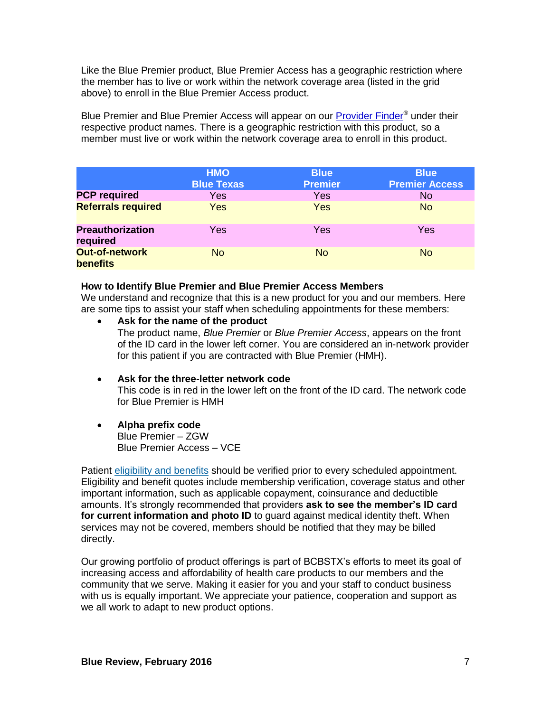Like the Blue Premier product, Blue Premier Access has a geographic restriction where the member has to live or work within the network coverage area (listed in the grid above) to enroll in the Blue Premier Access product.

Blue Premier and Blue Premier Access will appear on our **Provider Finder<sup>®</sup> under their** respective product names. There is a geographic restriction with this product, so a member must live or work within the network coverage area to enroll in this product.

|                                          | <b>HMO</b><br><b>Blue Texas</b> | <b>Blue</b><br><b>Premier</b> | <b>Blue</b><br><b>Premier Access</b> |
|------------------------------------------|---------------------------------|-------------------------------|--------------------------------------|
| <b>PCP required</b>                      | Yes                             | Yes                           | N <sub>o</sub>                       |
| <b>Referrals required</b>                | Yes                             | <b>Yes</b>                    | <b>No</b>                            |
| <b>Preauthorization</b><br>required      | Yes                             | Yes                           | Yes                                  |
| <b>Out-of-network</b><br><b>benefits</b> | <b>No</b>                       | <b>No</b>                     | <b>No</b>                            |

### **How to Identify Blue Premier and Blue Premier Access Members**

We understand and recognize that this is a new product for you and our members. Here are some tips to assist your staff when scheduling appointments for these members:

- **Ask for the name of the product** The product name, *Blue Premier* or *Blue Premier Access*, appears on the front of the ID card in the lower left corner. You are considered an in-network provider for this patient if you are contracted with Blue Premier (HMH).
- **Ask for the three-letter network code** This code is in red in the lower left on the front of the ID card. The network code for Blue Premier is HMH
- **Alpha prefix code** Blue Premier – ZGW Blue Premier Access – VCE

Patient [eligibility and benefits](https://www.bcbstx.com/provider/claims/eligibility_and_benefits.html) should be verified prior to every scheduled appointment. Eligibility and benefit quotes include membership verification, coverage status and other important information, such as applicable copayment, coinsurance and deductible amounts. It's strongly recommended that providers **ask to see the member's ID card for current information and photo ID** to guard against medical identity theft. When services may not be covered, members should be notified that they may be billed directly.

Our growing portfolio of product offerings is part of BCBSTX's efforts to meet its goal of increasing access and affordability of health care products to our members and the community that we serve. Making it easier for you and your staff to conduct business with us is equally important. We appreciate your patience, cooperation and support as we all work to adapt to new product options.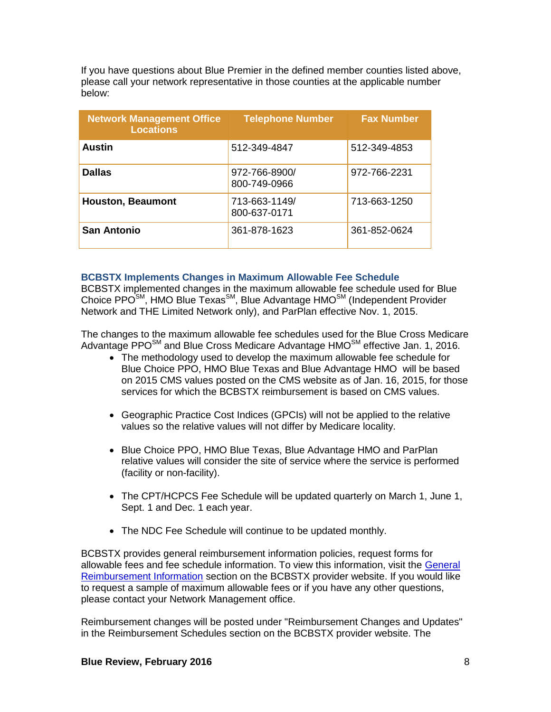If you have questions about Blue Premier in the defined member counties listed above, please call your network representative in those counties at the applicable number below:

| <b>Network Management Office</b><br><b>Locations</b> | <b>Telephone Number</b>       | <b>Fax Number</b> |
|------------------------------------------------------|-------------------------------|-------------------|
| <b>Austin</b>                                        | 512-349-4847                  | 512-349-4853      |
| <b>Dallas</b>                                        | 972-766-8900/<br>800-749-0966 | 972-766-2231      |
| <b>Houston, Beaumont</b>                             | 713-663-1149/<br>800-637-0171 | 713-663-1250      |
| <b>San Antonio</b>                                   | 361-878-1623                  | 361-852-0624      |

## **BCBSTX Implements Changes in Maximum Allowable Fee Schedule**

BCBSTX implemented changes in the maximum allowable fee schedule used for Blue Choice PPO<sup>SM</sup>, HMO Blue Texas<sup>SM</sup>, Blue Advantage HMO<sup>SM</sup> (Independent Provider Network and THE Limited Network only), and ParPlan effective Nov. 1, 2015.

The changes to the maximum allowable fee schedules used for the Blue Cross Medicare Advantage PPO $^{SM}$  and Blue Cross Medicare Advantage HMO $^{SM}$  effective Jan. 1, 2016.

- The methodology used to develop the maximum allowable fee schedule for Blue Choice PPO, HMO Blue Texas and Blue Advantage HMO will be based on 2015 CMS values posted on the CMS website as of Jan. 16, 2015, for those services for which the BCBSTX reimbursement is based on CMS values.
- Geographic Practice Cost Indices (GPCIs) will not be applied to the relative values so the relative values will not differ by Medicare locality.
- Blue Choice PPO, HMO Blue Texas, Blue Advantage HMO and ParPlan relative values will consider the site of service where the service is performed (facility or non-facility).
- The CPT/HCPCS Fee Schedule will be updated quarterly on March 1, June 1, Sept. 1 and Dec. 1 each year.
- The NDC Fee Schedule will continue to be updated monthly.

BCBSTX provides general reimbursement information policies, request forms for allowable fees and fee schedule information. To view this information, visit the [General](http://www.bcbstx.com/provider/gri/index.html)  [Reimbursement Information](http://www.bcbstx.com/provider/gri/index.html) section on the BCBSTX provider website. If you would like to request a sample of maximum allowable fees or if you have any other questions, please contact your Network Management office.

Reimbursement changes will be posted under "Reimbursement Changes and Updates" in the Reimbursement Schedules section on the BCBSTX provider website. The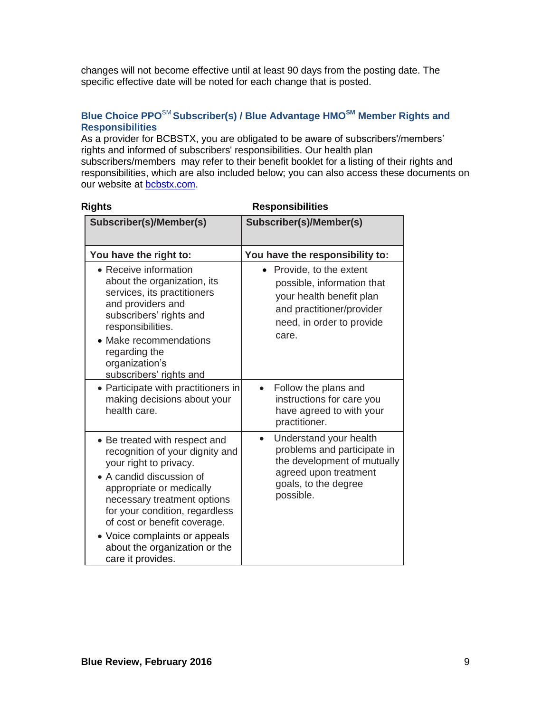changes will not become effective until at least 90 days from the posting date. The specific effective date will be noted for each change that is posted.

# **Blue Choice PPO**SM **Subscriber(s) / Blue Advantage HMOSM Member Rights and Responsibilities**

As a provider for BCBSTX, you are obligated to be aware of subscribers'/members' rights and informed of subscribers' responsibilities. Our health plan subscribers/members may refer to their benefit booklet for a listing of their rights and responsibilities, which are also included below; you can also access these documents on our website at [bcbstx.com.](http://www.bcbstx.com/)

| <b>Rights</b>                                                                                                                                                                                                                                                                                                                              | <b>Responsibilities</b>                                                                                                                                         |  |
|--------------------------------------------------------------------------------------------------------------------------------------------------------------------------------------------------------------------------------------------------------------------------------------------------------------------------------------------|-----------------------------------------------------------------------------------------------------------------------------------------------------------------|--|
| Subscriber(s)/Member(s)                                                                                                                                                                                                                                                                                                                    | Subscriber(s)/Member(s)                                                                                                                                         |  |
| You have the right to:                                                                                                                                                                                                                                                                                                                     | You have the responsibility to:                                                                                                                                 |  |
| • Receive information<br>about the organization, its<br>services, its practitioners<br>and providers and<br>subscribers' rights and<br>responsibilities.<br>• Make recommendations<br>regarding the<br>organization's<br>subscribers' rights and                                                                                           | • Provide, to the extent<br>possible, information that<br>your health benefit plan<br>and practitioner/provider<br>need, in order to provide<br>care.           |  |
| • Participate with practitioners in<br>making decisions about your<br>health care.                                                                                                                                                                                                                                                         | Follow the plans and<br>instructions for care you<br>have agreed to with your<br>practitioner.                                                                  |  |
| • Be treated with respect and<br>recognition of your dignity and<br>your right to privacy.<br>• A candid discussion of<br>appropriate or medically<br>necessary treatment options<br>for your condition, regardless<br>of cost or benefit coverage.<br>• Voice complaints or appeals<br>about the organization or the<br>care it provides. | Understand your health<br>$\bullet$<br>problems and participate in<br>the development of mutually<br>agreed upon treatment<br>goals, to the degree<br>possible. |  |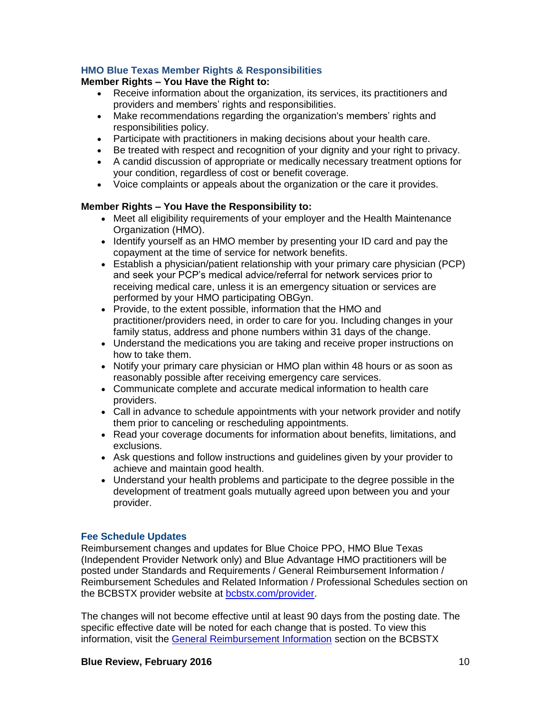# **HMO Blue Texas Member Rights & Responsibilities**

## **Member Rights – You Have the Right to:**

- Receive information about the organization, its services, its practitioners and providers and members' rights and responsibilities.
- Make recommendations regarding the organization's members' rights and responsibilities policy.
- Participate with practitioners in making decisions about your health care.
- Be treated with respect and recognition of your dignity and your right to privacy.
- A candid discussion of appropriate or medically necessary treatment options for your condition, regardless of cost or benefit coverage.
- Voice complaints or appeals about the organization or the care it provides.

## **Member Rights – You Have the Responsibility to:**

- Meet all eligibility requirements of your employer and the Health Maintenance Organization (HMO).
- Identify yourself as an HMO member by presenting your ID card and pay the copayment at the time of service for network benefits.
- Establish a physician/patient relationship with your primary care physician (PCP) and seek your PCP's medical advice/referral for network services prior to receiving medical care, unless it is an emergency situation or services are performed by your HMO participating OBGyn.
- Provide, to the extent possible, information that the HMO and practitioner/providers need, in order to care for you. Including changes in your family status, address and phone numbers within 31 days of the change.
- Understand the medications you are taking and receive proper instructions on how to take them.
- Notify your primary care physician or HMO plan within 48 hours or as soon as reasonably possible after receiving emergency care services.
- Communicate complete and accurate medical information to health care providers.
- Call in advance to schedule appointments with your network provider and notify them prior to canceling or rescheduling appointments.
- Read your coverage documents for information about benefits, limitations, and exclusions.
- Ask questions and follow instructions and guidelines given by your provider to achieve and maintain good health.
- Understand your health problems and participate to the degree possible in the development of treatment goals mutually agreed upon between you and your provider.

# **Fee Schedule Updates**

Reimbursement changes and updates for Blue Choice PPO, HMO Blue Texas (Independent Provider Network only) and Blue Advantage HMO practitioners will be posted under Standards and Requirements / General Reimbursement Information / Reimbursement Schedules and Related Information / Professional Schedules section on the BCBSTX provider website at [bcbstx.com/provider.](http://www.bcbstx.com/provider/)

The changes will not become effective until at least 90 days from the posting date. The specific effective date will be noted for each change that is posted. To view this information, visit the [General Reimbursement Information](http://www.bcbstx.com/provider/gri/index.html) section on the BCBSTX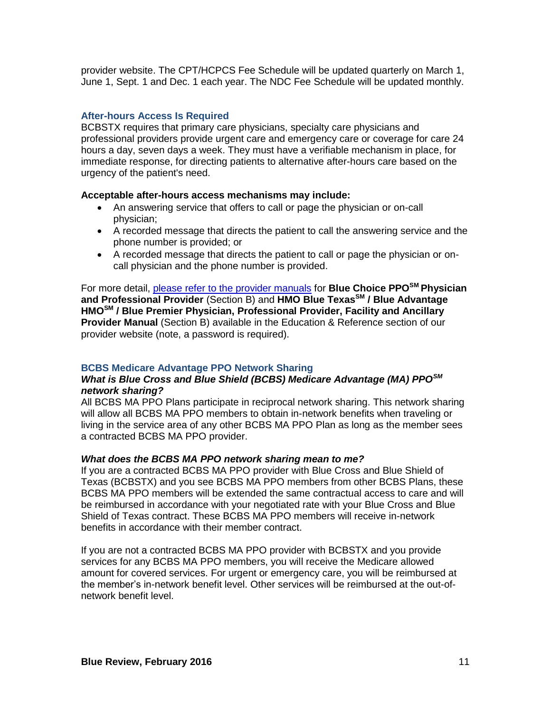provider website. The CPT/HCPCS Fee Schedule will be updated quarterly on March 1, June 1, Sept. 1 and Dec. 1 each year. The NDC Fee Schedule will be updated monthly.

## **After-hours Access Is Required**

BCBSTX requires that primary care physicians, specialty care physicians and professional providers provide urgent care and emergency care or coverage for care 24 hours a day, seven days a week. They must have a verifiable mechanism in place, for immediate response, for directing patients to alternative after-hours care based on the urgency of the patient's need.

### **Acceptable after-hours access mechanisms may include:**

- An answering service that offers to call or page the physician or on-call physician;
- A recorded message that directs the patient to call the answering service and the phone number is provided; or
- A recorded message that directs the patient to call or page the physician or oncall physician and the phone number is provided.

For more detail, [please refer to the provider manuals](http://www.bcbstx.com/provider/gri/index.html) for **Blue Choice PPOSM Physician and Professional Provider** (Section B) and **HMO Blue TexasSM / Blue Advantage HMOSM / Blue Premier Physician, Professional Provider, Facility and Ancillary Provider Manual** (Section B) available in the Education & Reference section of our provider website (note, a password is required).

# **BCBS Medicare Advantage PPO Network Sharing**

## *What is Blue Cross and Blue Shield (BCBS) Medicare Advantage (MA) PPOSM network sharing?*

All BCBS MA PPO Plans participate in reciprocal network sharing. This network sharing will allow all BCBS MA PPO members to obtain in-network benefits when traveling or living in the service area of any other BCBS MA PPO Plan as long as the member sees a contracted BCBS MA PPO provider.

### *What does the BCBS MA PPO network sharing mean to me?*

If you are a contracted BCBS MA PPO provider with Blue Cross and Blue Shield of Texas (BCBSTX) and you see BCBS MA PPO members from other BCBS Plans, these BCBS MA PPO members will be extended the same contractual access to care and will be reimbursed in accordance with your negotiated rate with your Blue Cross and Blue Shield of Texas contract. These BCBS MA PPO members will receive in-network benefits in accordance with their member contract.

If you are not a contracted BCBS MA PPO provider with BCBSTX and you provide services for any BCBS MA PPO members, you will receive the Medicare allowed amount for covered services. For urgent or emergency care, you will be reimbursed at the member's in-network benefit level. Other services will be reimbursed at the out-ofnetwork benefit level.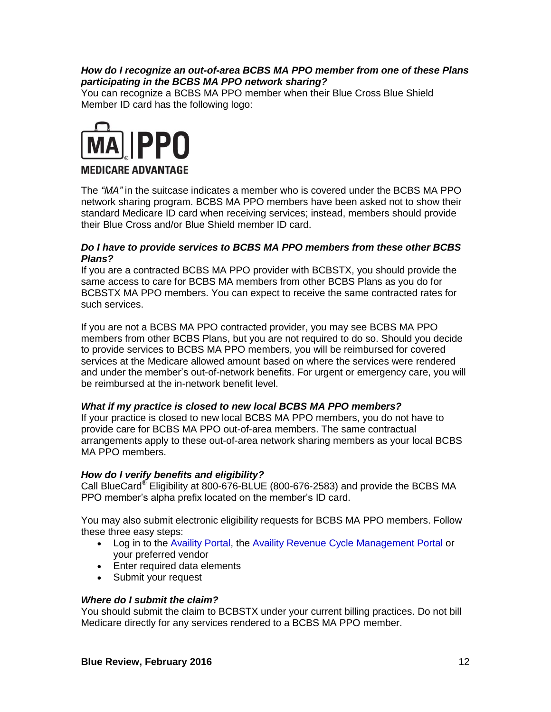# *How do I recognize an out-of-area BCBS MA PPO member from one of these Plans participating in the BCBS MA PPO network sharing?*

You can recognize a BCBS MA PPO member when their Blue Cross Blue Shield Member ID card has the following logo:



# **MEDICARE ADVANTAGE**

The *"MA"* in the suitcase indicates a member who is covered under the BCBS MA PPO network sharing program. BCBS MA PPO members have been asked not to show their standard Medicare ID card when receiving services; instead, members should provide their Blue Cross and/or Blue Shield member ID card.

## *Do I have to provide services to BCBS MA PPO members from these other BCBS Plans?*

If you are a contracted BCBS MA PPO provider with BCBSTX, you should provide the same access to care for BCBS MA members from other BCBS Plans as you do for BCBSTX MA PPO members. You can expect to receive the same contracted rates for such services.

If you are not a BCBS MA PPO contracted provider, you may see BCBS MA PPO members from other BCBS Plans, but you are not required to do so. Should you decide to provide services to BCBS MA PPO members, you will be reimbursed for covered services at the Medicare allowed amount based on where the services were rendered and under the member's out-of-network benefits. For urgent or emergency care, you will be reimbursed at the in-network benefit level.

### *What if my practice is closed to new local BCBS MA PPO members?*

If your practice is closed to new local BCBS MA PPO members, you do not have to provide care for BCBS MA PPO out-of-area members. The same contractual arrangements apply to these out-of-area network sharing members as your local BCBS MA PPO members.

### *How do I verify benefits and eligibility?*

Call BlueCard® Eligibility at 800-676-BLUE (800-676-2583) and provide the BCBS MA PPO member's alpha prefix located on the member's ID card.

You may also submit electronic eligibility requests for BCBS MA PPO members. Follow these three easy steps:

- Log in to the [Availity Portal,](http://www.availity.com/) the [Availity Revenue Cycle Management Portal](https://claims.realmed.com/) or your preferred vendor
- Enter required data elements
- Submit your request

### *Where do I submit the claim?*

You should submit the claim to BCBSTX under your current billing practices. Do not bill Medicare directly for any services rendered to a BCBS MA PPO member.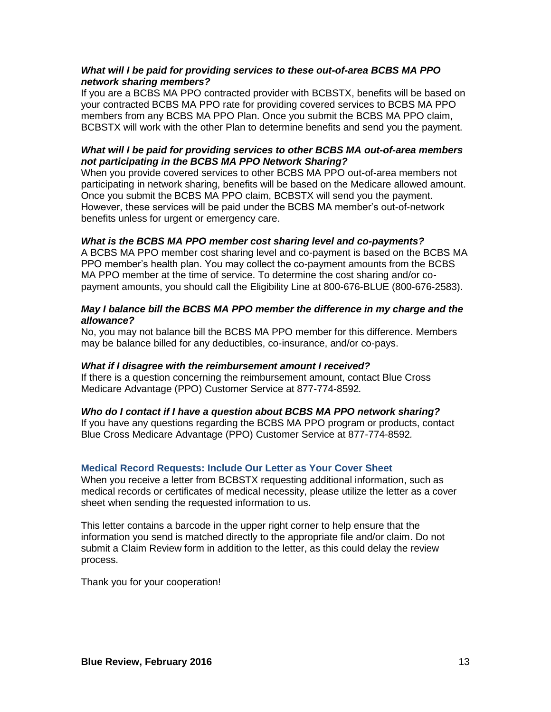## *What will I be paid for providing services to these out-of-area BCBS MA PPO network sharing members?*

If you are a BCBS MA PPO contracted provider with BCBSTX, benefits will be based on your contracted BCBS MA PPO rate for providing covered services to BCBS MA PPO members from any BCBS MA PPO Plan. Once you submit the BCBS MA PPO claim, BCBSTX will work with the other Plan to determine benefits and send you the payment.

# *What will I be paid for providing services to other BCBS MA out-of-area members not participating in the BCBS MA PPO Network Sharing?*

When you provide covered services to other BCBS MA PPO out-of-area members not participating in network sharing, benefits will be based on the Medicare allowed amount. Once you submit the BCBS MA PPO claim, BCBSTX will send you the payment. However, these services will be paid under the BCBS MA member's out-of-network benefits unless for urgent or emergency care.

## *What is the BCBS MA PPO member cost sharing level and co-payments?*

A BCBS MA PPO member cost sharing level and co-payment is based on the BCBS MA PPO member's health plan. You may collect the co-payment amounts from the BCBS MA PPO member at the time of service. To determine the cost sharing and/or copayment amounts, you should call the Eligibility Line at 800-676-BLUE (800-676-2583).

## *May I balance bill the BCBS MA PPO member the difference in my charge and the allowance?*

No, you may not balance bill the BCBS MA PPO member for this difference. Members may be balance billed for any deductibles, co-insurance, and/or co-pays.

### *What if I disagree with the reimbursement amount I received?*

If there is a question concerning the reimbursement amount, contact Blue Cross Medicare Advantage (PPO) Customer Service at 877-774-8592*.*

### *Who do I contact if I have a question about BCBS MA PPO network sharing?*

If you have any questions regarding the BCBS MA PPO program or products, contact Blue Cross Medicare Advantage (PPO) Customer Service at 877-774-8592*.*

### **Medical Record Requests: Include Our Letter as Your Cover Sheet**

When you receive a letter from BCBSTX requesting additional information, such as medical records or certificates of medical necessity, please utilize the letter as a cover sheet when sending the requested information to us.

This letter contains a barcode in the upper right corner to help ensure that the information you send is matched directly to the appropriate file and/or claim. Do not submit a Claim Review form in addition to the letter, as this could delay the review process.

Thank you for your cooperation!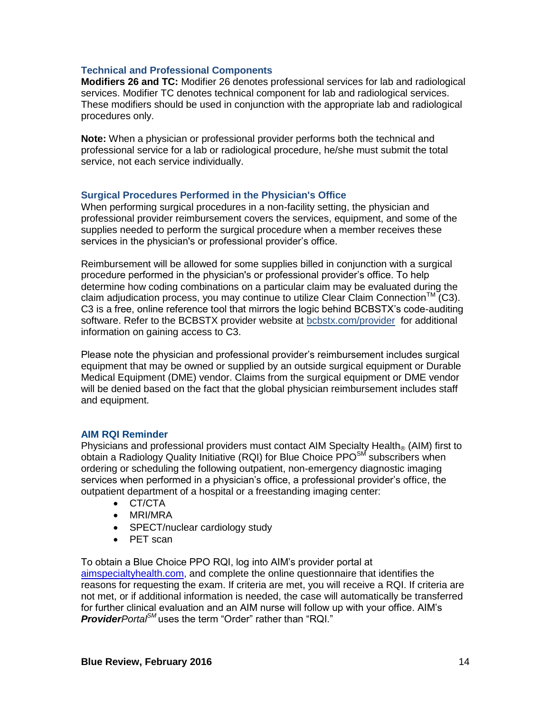## **Technical and Professional Components**

**Modifiers 26 and TC:** Modifier 26 denotes professional services for lab and radiological services. Modifier TC denotes technical component for lab and radiological services. These modifiers should be used in conjunction with the appropriate lab and radiological procedures only.

**Note:** When a physician or professional provider performs both the technical and professional service for a lab or radiological procedure, he/she must submit the total service, not each service individually.

## **Surgical Procedures Performed in the Physician's Office**

When performing surgical procedures in a non-facility setting, the physician and professional provider reimbursement covers the services, equipment, and some of the supplies needed to perform the surgical procedure when a member receives these services in the physician's or professional provider's office.

Reimbursement will be allowed for some supplies billed in conjunction with a surgical procedure performed in the physician's or professional provider's office. To help determine how coding combinations on a particular claim may be evaluated during the claim adjudication process, you may continue to utilize Clear Claim Connection<sup>TM</sup> (C3). C3 is a free, online reference tool that mirrors the logic behind BCBSTX's code-auditing software. Refer to the BCBSTX provider website at [bcbstx.com/provider](http://www.bcbstx.com/provider/tools/clear_claim_connection.html) for additional information on gaining access to C3.

Please note the physician and professional provider's reimbursement includes surgical equipment that may be owned or supplied by an outside surgical equipment or Durable Medical Equipment (DME) vendor. Claims from the surgical equipment or DME vendor will be denied based on the fact that the global physician reimbursement includes staff and equipment.

### **AIM RQI Reminder**

Physicians and professional providers must contact AIM Specialty Health<sup>®</sup> (AIM) first to obtain a Radiology Quality Initiative (RQI) for Blue Choice  $PPO<sup>SM</sup>$  subscribers when ordering or scheduling the following outpatient, non-emergency diagnostic imaging services when performed in a physician's office, a professional provider's office, the outpatient department of a hospital or a freestanding imaging center:

- CT/CTA
- MRI/MRA
- SPECT/nuclear cardiology study
- PET scan

To obtain a Blue Choice PPO RQI, log into AIM's provider portal at [aimspecialtyhealth.com,](http://www.aimspecialtyhealth.com/) and complete the online questionnaire that identifies the reasons for requesting the exam. If criteria are met, you will receive a RQI. If criteria are not met, or if additional information is needed, the case will automatically be transferred for further clinical evaluation and an AIM nurse will follow up with your office. AIM's *ProviderPortalSM* uses the term "Order" rather than "RQI."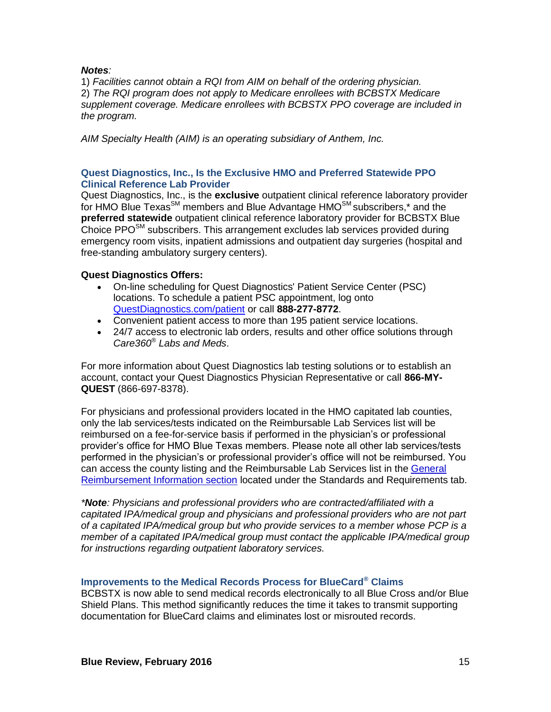## *Notes:*

1) *Facilities cannot obtain a RQI from AIM on behalf of the ordering physician.* 2) *The RQI program does not apply to Medicare enrollees with BCBSTX Medicare supplement coverage. Medicare enrollees with BCBSTX PPO coverage are included in the program.* 

*AIM Specialty Health (AIM) is an operating subsidiary of Anthem, Inc.* 

# **Quest Diagnostics, Inc., Is the Exclusive HMO and Preferred Statewide PPO Clinical Reference Lab Provider**

Quest Diagnostics, Inc., is the **exclusive** outpatient clinical reference laboratory provider for HMO Blue Texas<sup>SM</sup> members and Blue Advantage HMO<sup>SM</sup> subscribers,\* and the **preferred statewide** outpatient clinical reference laboratory provider for BCBSTX Blue Choice  $PPO^{SM}$  subscribers. This arrangement excludes lab services provided during emergency room visits, inpatient admissions and outpatient day surgeries (hospital and free-standing ambulatory surgery centers).

# **Quest Diagnostics Offers:**

- On-line scheduling for Quest Diagnostics' Patient Service Center (PSC) locations. To schedule a patient PSC appointment, log onto [QuestDiagnostics.com/patient](http://www.questdiagnostics.com/home/patients) or call **888-277-8772**.
- Convenient patient access to more than 195 patient service locations.
- 24/7 access to electronic lab orders, results and other office solutions through *Care360® Labs and Meds*.

For more information about Quest Diagnostics lab testing solutions or to establish an account, contact your Quest Diagnostics Physician Representative or call **866-MY-QUEST** (866-697-8378).

For physicians and professional providers located in the HMO capitated lab counties, only the lab services/tests indicated on the Reimbursable Lab Services list will be reimbursed on a fee-for-service basis if performed in the physician's or professional provider's office for HMO Blue Texas members. Please note all other lab services/tests performed in the physician's or professional provider's office will not be reimbursed. You can access the county listing and the Reimbursable Lab Services list in the [General](http://www.bcbstx.com/provider/gri/index.html)  [Reimbursement Information section](http://www.bcbstx.com/provider/gri/index.html) located under the Standards and Requirements tab.

*\*Note: Physicians and professional providers who are contracted/affiliated with a capitated IPA/medical group and physicians and professional providers who are not part of a capitated IPA/medical group but who provide services to a member whose PCP is a member of a capitated IPA/medical group must contact the applicable IPA/medical group for instructions regarding outpatient laboratory services.* 

# **Improvements to the Medical Records Process for BlueCard® Claims**

BCBSTX is now able to send medical records electronically to all Blue Cross and/or Blue Shield Plans. This method significantly reduces the time it takes to transmit supporting documentation for BlueCard claims and eliminates lost or misrouted records.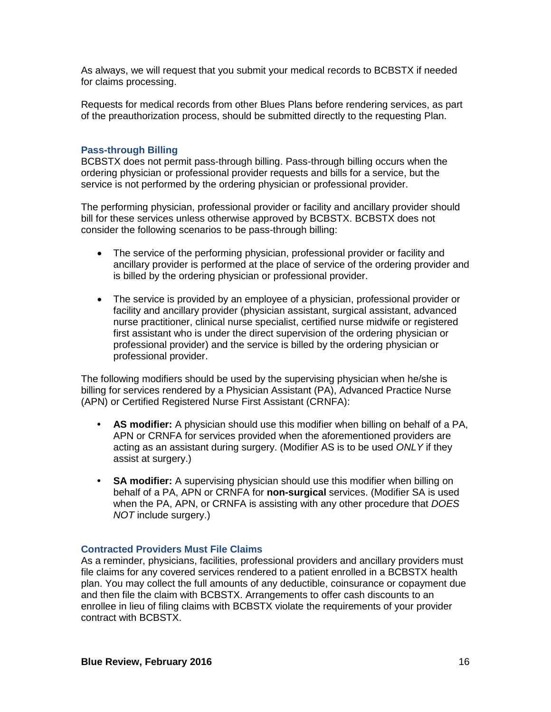As always, we will request that you submit your medical records to BCBSTX if needed for claims processing.

Requests for medical records from other Blues Plans before rendering services, as part of the preauthorization process, should be submitted directly to the requesting Plan.

## **Pass-through Billing**

BCBSTX does not permit pass-through billing. Pass-through billing occurs when the ordering physician or professional provider requests and bills for a service, but the service is not performed by the ordering physician or professional provider.

The performing physician, professional provider or facility and ancillary provider should bill for these services unless otherwise approved by BCBSTX. BCBSTX does not consider the following scenarios to be pass-through billing:

- The service of the performing physician, professional provider or facility and ancillary provider is performed at the place of service of the ordering provider and is billed by the ordering physician or professional provider.
- The service is provided by an employee of a physician, professional provider or facility and ancillary provider (physician assistant, surgical assistant, advanced nurse practitioner, clinical nurse specialist, certified nurse midwife or registered first assistant who is under the direct supervision of the ordering physician or professional provider) and the service is billed by the ordering physician or professional provider.

The following modifiers should be used by the supervising physician when he/she is billing for services rendered by a Physician Assistant (PA), Advanced Practice Nurse (APN) or Certified Registered Nurse First Assistant (CRNFA):

- **• AS modifier:** A physician should use this modifier when billing on behalf of a PA, APN or CRNFA for services provided when the aforementioned providers are acting as an assistant during surgery. (Modifier AS is to be used *ONLY* if they assist at surgery.)
- **• SA modifier:** A supervising physician should use this modifier when billing on behalf of a PA, APN or CRNFA for **non-surgical** services. (Modifier SA is used when the PA, APN, or CRNFA is assisting with any other procedure that *DOES NOT* include surgery.)

### **Contracted Providers Must File Claims**

As a reminder, physicians, facilities, professional providers and ancillary providers must file claims for any covered services rendered to a patient enrolled in a BCBSTX health plan. You may collect the full amounts of any deductible, coinsurance or copayment due and then file the claim with BCBSTX. Arrangements to offer cash discounts to an enrollee in lieu of filing claims with BCBSTX violate the requirements of your provider contract with BCBSTX.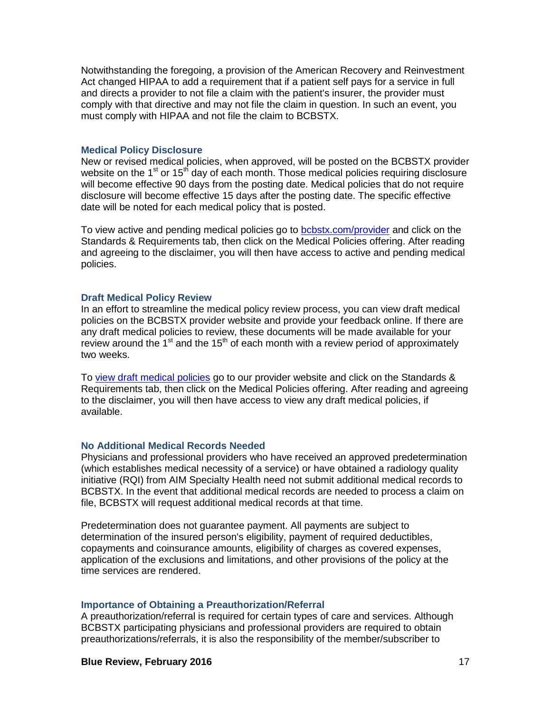Notwithstanding the foregoing, a provision of the American Recovery and Reinvestment Act changed HIPAA to add a requirement that if a patient self pays for a service in full and directs a provider to not file a claim with the patient's insurer, the provider must comply with that directive and may not file the claim in question. In such an event, you must comply with HIPAA and not file the claim to BCBSTX.

#### **Medical Policy Disclosure**

New or revised medical policies, when approved, will be posted on the BCBSTX provider website on the 1<sup>st</sup> or 15<sup>th</sup> day of each month. Those medical policies requiring disclosure will become effective 90 days from the posting date. Medical policies that do not require disclosure will become effective 15 days after the posting date. The specific effective date will be noted for each medical policy that is posted.

To view active and pending medical policies go to [bcbstx.com/provider](http://www.bcbstx.com/provider) and click on the Standards & Requirements tab, then click on the Medical Policies offering. After reading and agreeing to the disclaimer, you will then have access to active and pending medical policies.

#### **Draft Medical Policy Review**

In an effort to streamline the medical policy review process, you can view draft medical policies on the BCBSTX provider website and provide your feedback online. If there are any draft medical policies to review, these documents will be made available for your review around the  $1<sup>st</sup>$  and the  $15<sup>th</sup>$  of each month with a review period of approximately two weeks.

To [view draft medical policies](http://www.medicalpolicy.hcsc.net/medicalpolicy/disclaimer?corpEntCd=TX1) go to our provider website and click on the Standards & Requirements tab, then click on the Medical Policies offering. After reading and agreeing to the disclaimer, you will then have access to view any draft medical policies, if available.

### **No Additional Medical Records Needed**

Physicians and professional providers who have received an approved predetermination (which establishes medical necessity of a service) or have obtained a radiology quality initiative (RQI) from AIM Specialty Health need not submit additional medical records to BCBSTX. In the event that additional medical records are needed to process a claim on file, BCBSTX will request additional medical records at that time.

Predetermination does not guarantee payment. All payments are subject to determination of the insured person's eligibility, payment of required deductibles, copayments and coinsurance amounts, eligibility of charges as covered expenses, application of the exclusions and limitations, and other provisions of the policy at the time services are rendered.

### **Importance of Obtaining a Preauthorization/Referral**

A preauthorization/referral is required for certain types of care and services. Although BCBSTX participating physicians and professional providers are required to obtain preauthorizations/referrals, it is also the responsibility of the member/subscriber to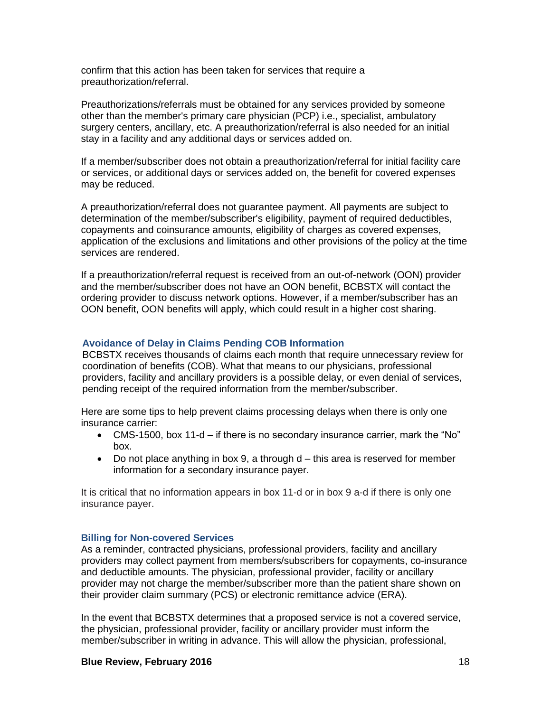confirm that this action has been taken for services that require a preauthorization/referral.

Preauthorizations/referrals must be obtained for any services provided by someone other than the member's primary care physician (PCP) i.e., specialist, ambulatory surgery centers, ancillary, etc. A preauthorization/referral is also needed for an initial stay in a facility and any additional days or services added on.

If a member/subscriber does not obtain a preauthorization/referral for initial facility care or services, or additional days or services added on, the benefit for covered expenses may be reduced.

A preauthorization/referral does not guarantee payment. All payments are subject to determination of the member/subscriber's eligibility, payment of required deductibles, copayments and coinsurance amounts, eligibility of charges as covered expenses, application of the exclusions and limitations and other provisions of the policy at the time services are rendered.

If a preauthorization/referral request is received from an out-of-network (OON) provider and the member/subscriber does not have an OON benefit, BCBSTX will contact the ordering provider to discuss network options. However, if a member/subscriber has an OON benefit, OON benefits will apply, which could result in a higher cost sharing.

## **Avoidance of Delay in Claims Pending COB Information**

BCBSTX receives thousands of claims each month that require unnecessary review for coordination of benefits (COB). What that means to our physicians, professional providers, facility and ancillary providers is a possible delay, or even denial of services, pending receipt of the required information from the member/subscriber.

Here are some tips to help prevent claims processing delays when there is only one insurance carrier:

- CMS-1500, box 11-d if there is no secondary insurance carrier, mark the "No" box.
- $\bullet$  Do not place anything in box 9, a through d this area is reserved for member information for a secondary insurance payer.

It is critical that no information appears in box 11-d or in box 9 a-d if there is only one insurance payer.

### **Billing for Non-covered Services**

As a reminder, contracted physicians, professional providers, facility and ancillary providers may collect payment from members/subscribers for copayments, co-insurance and deductible amounts. The physician, professional provider, facility or ancillary provider may not charge the member/subscriber more than the patient share shown on their provider claim summary (PCS) or electronic remittance advice (ERA).

In the event that BCBSTX determines that a proposed service is not a covered service, the physician, professional provider, facility or ancillary provider must inform the member/subscriber in writing in advance. This will allow the physician, professional,

### **Blue Review, February 2016** 18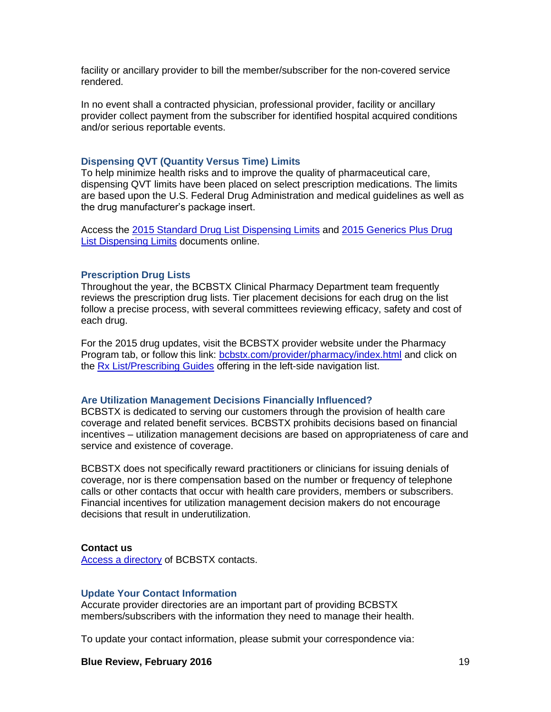facility or ancillary provider to bill the member/subscriber for the non-covered service rendered.

In no event shall a contracted physician, professional provider, facility or ancillary provider collect payment from the subscriber for identified hospital acquired conditions and/or serious reportable events.

#### **Dispensing QVT (Quantity Versus Time) Limits**

To help minimize health risks and to improve the quality of pharmaceutical care, dispensing QVT limits have been placed on select prescription medications. The limits are based upon the U.S. Federal Drug Administration and medical guidelines as well as the drug manufacturer's package insert.

Access the [2015 Standard Drug List Dispensing Limits](http://www.bcbstx.com/pdf/rx/rx_dispensing_limits_std_tx.pdf) and [2015 Generics Plus Drug](http://www.bcbstx.com/pdf/rx/rx_dispensing_limits_gen_tx.pdf)  [List Dispensing Limits](http://www.bcbstx.com/pdf/rx/rx_dispensing_limits_gen_tx.pdf) documents online.

#### **Prescription Drug Lists**

Throughout the year, the BCBSTX Clinical Pharmacy Department team frequently reviews the prescription drug lists. Tier placement decisions for each drug on the list follow a precise process, with several committees reviewing efficacy, safety and cost of each drug.

For the 2015 drug updates, visit the BCBSTX provider website under the Pharmacy Program tab, or follow this link: [bcbstx.com/provider/pharmacy/index.html](http://www.bcbstx.com/provider/pharmacy/index.html) and click on the [Rx List/Prescribing Guides](http://www.bcbstx.com/provider/pharmacy/rx_list.html) offering in the left-side navigation list.

#### **Are Utilization Management Decisions Financially Influenced?**

BCBSTX is dedicated to serving our customers through the provision of health care coverage and related benefit services. BCBSTX prohibits decisions based on financial incentives – utilization management decisions are based on appropriateness of care and service and existence of coverage.

BCBSTX does not specifically reward practitioners or clinicians for issuing denials of coverage, nor is there compensation based on the number or frequency of telephone calls or other contacts that occur with health care providers, members or subscribers. Financial incentives for utilization management decision makers do not encourage decisions that result in underutilization.

#### **Contact us**

[Access a directory](http://www.bcbstx.com/provider/contact_us.html) of BCBSTX contacts.

#### **Update Your Contact Information**

Accurate provider directories are an important part of providing BCBSTX members/subscribers with the information they need to manage their health.

To update your contact information, please submit your correspondence via:

#### **Blue Review, February 2016** 19